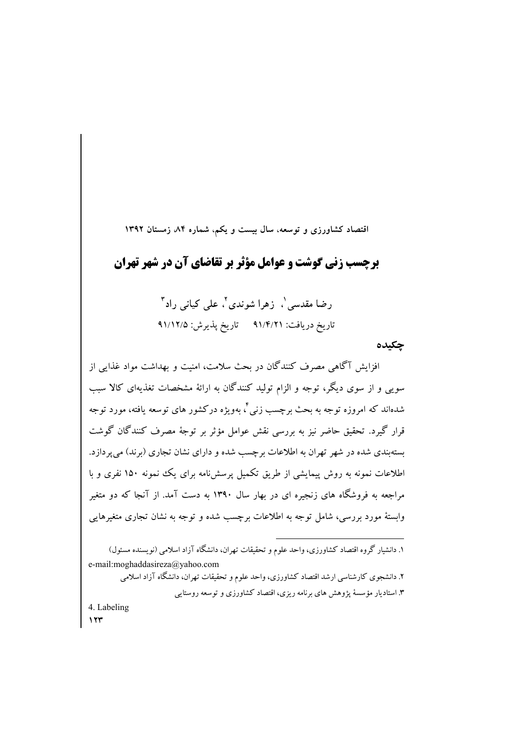اقتصاد کشاورزی و توسعه، سال بیست و یکم، شماره ۸۴ زمستان ۱۳۹۲

**برچسب زنی گوشت و عوامل مؤتر بر تقاضای آن در شهر تهران -**

> رضا مقدسی`، زهرا شوندی<sup>۲</sup>، علی کیانی راد<sup>۳</sup> تاریخ دریافت: ۹۱/۴/۲۱ تاریخ پذیرش: ۹۱/۱۲/۵

> > **چکیده**

افزایش آگاهی مصرف کنندگان در بحث سلامت، امنیت و بهداشت مواد غذایی از  $\overline{\phantom{a}}$ سویی و از سوی دیگر، توجه و الزام تولید کنندگان به ارائهٔ مشخصات تغذیهای کالا سبب شدهاند که امروزه توجه به بحث برچسب زنی<sup>۶</sup>، بهویژه درکشور های توسعه یافته، مورد توجه قرار گیرد. تحقیق حاضر نیز به بررسی نقش عوامل مؤثر بر توجهٔ مصرف کنندگان گوشت بستهبندی شده در شهر تهران به اطلاعات برچسب شده و دارای نشان تجاری (برند) می پردازد. اطلاعات نمونه به روش پیمایشی از طریق تکمیل پرسشiامه برای یک نمونه ۱۵۰ نفری و با مراجعه به فروشگاه های زنجیره ای در بهار سال ۱۳۹۰ به دست آمد. از آنجا که دو متغیر وابستهٔ مورد بررسی، شامل توجه به اطلاعات برچسب شده و توجه به نشان تجاری متغیرهایی

۱. دانشیار گروه اقتصاد کشاورزی، واحد علوم و تحقیقات تهران، دانشگاه آزاد اسلامی (نویسنده مسئول) e-mail:moghaddasireza@yahoo.com

۲. دانشجوی کارشناسی ارشد اقتصاد کشاورزی، واحد علوم و تحقیقات تهران، دانشگاه آزاد اسلامی

**۳**. استادیار مؤسسهٔ پژوهش های برنامه ریزی، اقتصاد کشاورزی و توسعه روستایی

**-** 4. Labeling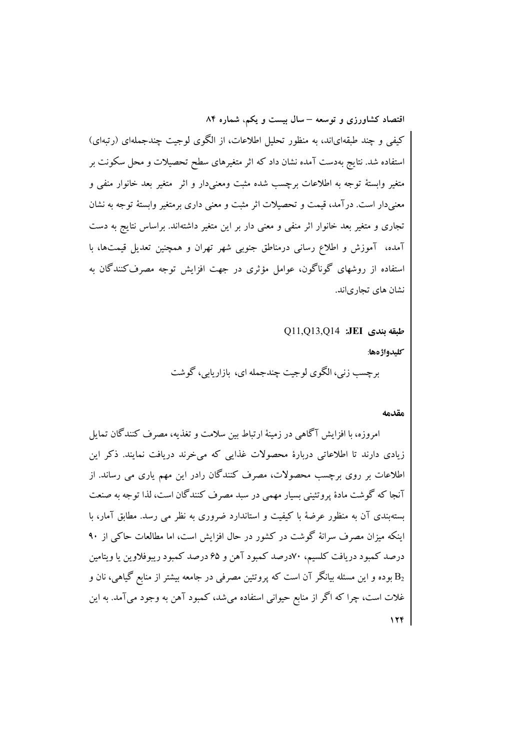کیفی و چند طبقهایاند، به منظور تحلیل اطلاعات، از الگوی لوجیت چندجملهای (رتبهای) استفاده شد. نتایج بهدست آمده نشان داد که اثر متغیرهای سطح تحصیلات و محل سکونت بر متغیر وابستهٔ توجه به اطلاعات برچسب شده مثبت ومعنیدار و اثر ً متغیر بعد خانوار منفی و معنیدار است. درآمد، قیمت و تحصیلات اثر مثبت و معنی داری برمتغیر وابستهٔ توجه به نشان تجاری و متغیر بعد خانوار اثر منفی و معنی دار بر این متغیر داشتهاند. براساس نتایج به دست آمده، آموزش و اطلاع رسانی درمناطق جنوبی شهر تهران و همچنین تعدیل قیمتها، با استفاده از روشهای گوناگون، عوامل مؤثری در جهت افزایش توجه مصرف کنندگان به نشان های تجاریاند.

طبقه بندي JEI: 011,013,014

كليدواژ دها:

برچسب زنی، الگوی لوجیت چندجمله ای، بازاریابی، گوشت

#### مقدمه

امروزه، با افزایش آگاهی در زمینهٔ ارتباط بین سلامت و تغذیه، مصرف کنندگان تمایل زیادی دارند تا اطلاعاتی دربارهٔ محصولات غذایی که می خرند دریافت نمایند. ذکر این اطلاعات بر روی برچسب محصولات، مصرف کنندگان رادر این مهم یاری می رساند. از آنجا که گوشت مادهٔ پروتئینی بسیار مهمی در سبد مصرف کنندگان است، لذا توجه به صنعت یستهیندی آن به منظور عرضهٔ با کیفیت و استاندارد ضروری به نظر می رسد. مطابق آمار، با اینکه میزان مصرف سرانهٔ گوشت در کشور در حال افزایش است، اما مطالعات حاکم از ۹۰ درصد کمبود دریافت کلسیم، ۷۰درصد کمبود آهن و ۶۵درصد کمبود ریبوفلاوین یا ویتامین بوده و این مسئله بیانگر آن است که پروتئین مصرفی در جامعه بیشتر از منابع گیاهی، نان و  $\mathrm{B_{2}}$ غلات است، چرا که اگر از منابع حیوانی استفاده میشد، کمبود آهن به وجود میآمد. به این  $17f$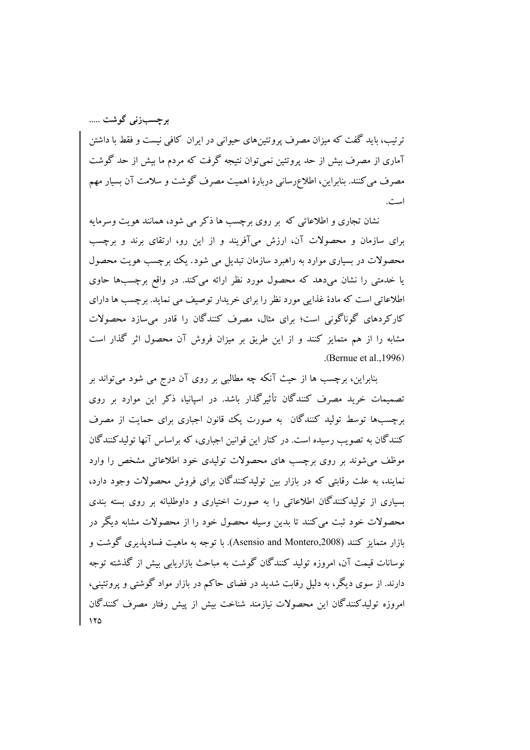برجسبزنی گوشت .....

ترتیب، باید گفت که میزان مصرف پروتئینهای حیوانی در ایران کافی نیست و فقط با داشتن آماری از مصرف بیش از حد پروتئین نمی توان نتیجه گرفت که مردم ما بیش از حد گوشت مصرف می کنند. بنابراین، اطلاع٫سانی دربارهٔ اهمیت مصرف گوشت و سلامت آن بسیار مهم است.

نشان تجاری و اطلاعاتی که پر روی پرچسب ها ذکر می شود، همانند هویت وسرمایه برای سازمان و محصولات آن، ارزش میآفریند و از این رو، ارتقای برند و برچسب محصولات در بسیاری موارد به راهبرد سازمان تبدیل می شود. یک برچسب هویت محصول یا خدمتی را نشان می دهد که محصول مورد نظر ارائه می کند. در واقع برچسبها حاوی اطلاعاتی است که مادهٔ غذایی مورد نظر را برای خریدار توصیف می نماید. برچسب ها دارای کارکردهای گوناگونی است؛ برای مثال، مصرف کنندگان را قادر می سازد محصولات مشابه را از هم متمایز کنند و از این طریق بر میزان فروش آن محصول اثر گذار است .(Bernue et al.,  $1996$ )

بنابراین، برچسب ها از حیث آنکه چه مطالبی بر روی آن درج می شود میتواند بر تصمیمات خرید مصرف کنندگان تأثیرگذار باشد. در اسپانیا، ذکر این موارد بر روی برچسبها توسط تولید کنندگان په صورت یک قانون اجباری برای حمایت از مصرف کنندگان به تصویب رسیده است. در کنار این قوانین اجباری، که براساس آنها تولیدکنندگان موظف می شوند بر روی برچسب های محصولات تولیدی خود اطلاعاتی مشخص را وارد نمایند، به علت رقابتی که در بازار بین تولیدکنندگان برای فروش محصولات وجود دارد، بسیاری از تولیدکنندگان اطلاعاتی را به صورت اختیاری و داوطلبانه بر روی بسته بندی محصولات خود ثبت می کنند تا بدین وسیله محصول خود را از محصولات مشابه دیگر در بازار متمایز کنند (Asensio and Montero,2008). با توجه به ماهیت فسادیذیری گوشت و نوسانات قیمت آن، امروزه تولید کنندگان گوشت به مباحث بازاریابی بیش از گذشته توجه دارند. از سوی دیگر، به دلیل رقابت شدید در فضای حاکم در بازار مواد گوشتی و پروتئینی، ام وزه تولیدکنندگان این محصولات نیازمند شناخت بیش از پیش رفتار مصرف کنندگان  $150$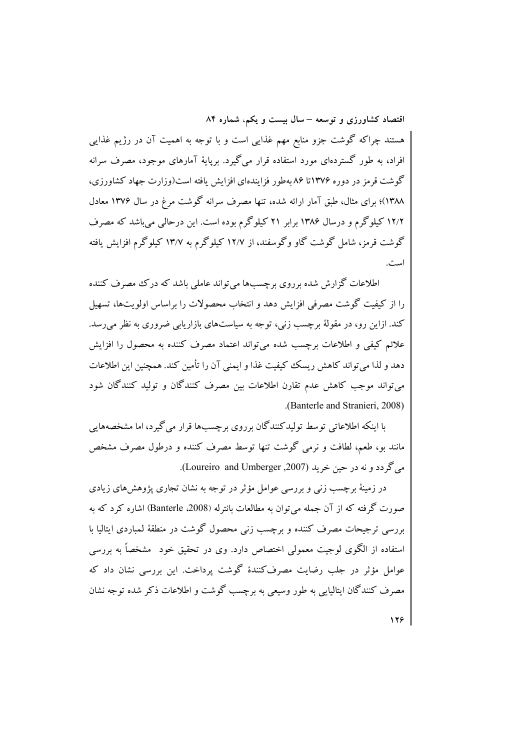هستند چراکه گوشت جزو منابع مهم غذایی است و با توجه به اهمیت آن در رژیم غذایی افراد، به طور گستردهای مورد استفاده قرار می گیرد. برپایهٔ آمارهای موجود، مصرف سرانه گوشت قرمز در دوره ۱۳۷۶تا ۸۶ بهطور فزایندهای افزایش یافته است(وزارت جهاد کشاورزی، ۱۳۸۸)؛ برای مثال، طبق آمار ارائه شده، تنها مصرف سرانه گوشت مرغ در سال ۱۳۷۶ معادل ۱۲/۲ کیلو گرم و درسال ۱۳۸۶ برابر ۲۱ کیلو گرم بوده است. این درحالی می باشد که مصرف گوشت قرمز، شامل گوشت گاو وگوسفند، از ۱۲/۷ کیلوگرم به ۱۳/۷ کیلوگرم افزایش یافته است.

اطلاعات گزارش شده برروی برجسبها می تواند عاملی باشد که در ک مصرف کننده را از کیفیت گوشت مصرفی افزایش دهد و انتخاب محصولات را براساس اولویتها، تسهیل کند. ازاین رو، در مقولهٔ برچسب زنبی، توجه به سیاستهای بازاریابی ضروری به نظر می رسد. علائم كيفي و اطلاعات برچسب شده مي تواند اعتماد مصرف كننده به محصول را افزايش دهد و لذا می تواند کاهش ریسک کیفیت غذا و ایمنی آن را تأمین کند. همچنین این اطلاعات می تواند موجب کاهش عدم تقارن اطلاعات بین مصرف کنندگان و تولید کنندگان شود (Banterle and Stranieri, 2008).

یا اینکه اطلاعاتی توسط تولیدکنندگان بر روی برچسپها قرار می گیرد، اما مشخصههایی مانند بو، طعم، لطافت و نرمی گوشت تنها توسط مصرف کننده و درطول مصرف مشخص ميرگج دد و نه در حين خريد (Loureiro and Umberger ,2007).

در زمینهٔ برچسب زنبی و بررسی عوامل مؤثر در توجه به نشان تجاری پژوهشهای زیادی صورت گرفته که از آن جمله می توان به مطالعات بانترله (2008، Banterle) اشاره کرد که به بررسی ترجیحات مصرف کننده و برجست زنبی محصول گوشت در منطقهٔ لمباردی ایتالیا با استفاده از الگوی لوجیت معمولی اختصاص دارد. وی در تحقیق خود ً مشخصاً به بررسی عوامل مؤثر در جلب رضایت مصرفکنندهٔ گوشت پرداخت. این بررسی نشان داد که مصرف کنندگان ابتالیایی به طور وسیعی به برچسب گوشت و اطلاعات ذکر شده توجه نشان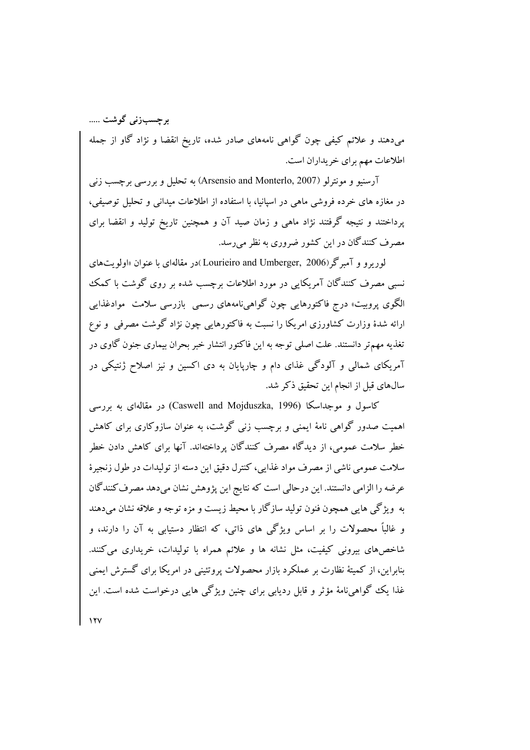برجسبزنی گوشت ..... میدهند و علائم کیفی چون گواهی نامههای صادر شده، تاریخ انقضا و نژاد گاو از جمله اطلاعات مهم براي خريداران است.

آرسنیو و مونترلو (Arsensio and Monterlo, 2007) به تحلیل و بررسی برچسب زنی در مغازه های خرده فروشی ماهی در اسپانیا، با استفاده از اطلاعات میدانی و تحلیل توصیفی، پرداختند و نتیجه گرفتند نژاد ماهی و زمان صید آن و همچنین تاریخ تولید و انقضا برای مصرف کنندگان در این کشور ضروری به نظر می رسد.

لوریو و آمبرگر (Lourieiro and Umberger, 2006)در مقالهای با عنوان «اولویتهای نسبی مصرف کنندگان آمریکایی در مورد اطلاعات برچسب شده بر روی گوشت با کمک الگوی پروبیت» درج فاکتورهایی چون گواهیiامههای رسمی بازرسی سلامت موادغذایی ارائه شدهٔ وزارت کشاورزی امریکا را نسبت به فاکتورهایی چون نژاد گوشت مصرفی ًو نوع تغذیه مهمتر دانستند. علت اصلی توجه به این فاکتور انتشار خبر بحران بیماری جنون گاوی در آمریکای شمالی و آلودگی غذای دام و چارپایان به دی اکسین و نیز اصلاح ژنتیکی در سالهای قبل از انجام این تحقیق ذکر شد.

کاسول و موجداسکا (Caswell and Mojduszka, 1996) در مقالهای به بررسی اهمیت صدور گواهی نامهٔ ایمنی و برچسب زنی گوشت، به عنوان سازوکاری برای کاهش خطر سلامت عمومی، از دیدگاه مصرف کنندگان پرداختهاند. آنها برای کاهش دادن خطر سلامت عمومي ناشي از مصرف مواد غذايي، كنترل دقيق اين دسته از توليدات در طول زنجيرهٔ عرضه را الزامی دانستند. این درحالی است که نتایج این پژوهش نشان میدهد مصرف کنندگان به ۖ ویژگی هایی همچون فنون تولید سازگار با محیط زیست و مزه توجه و علاقه نشان میدهند و غالباً محصولات را بر اساس ویژگی های ذاتی، که انتظار دستیابی به آن را دارند، و شاخصهای بیرونی کیفیت، مثل نشانه ها و علائم همراه با تولیدات، خریداری می کنند. بنابراین، از کمیتهٔ نظارت بر عملکرد بازار محصولات پروتئینی در امریکا برای گسترش ایمنی غذا یک گواهینامهٔ مؤثر و قابل ردیابی برای چنین ویژگی هایی درخواست شده است. این

 $11V$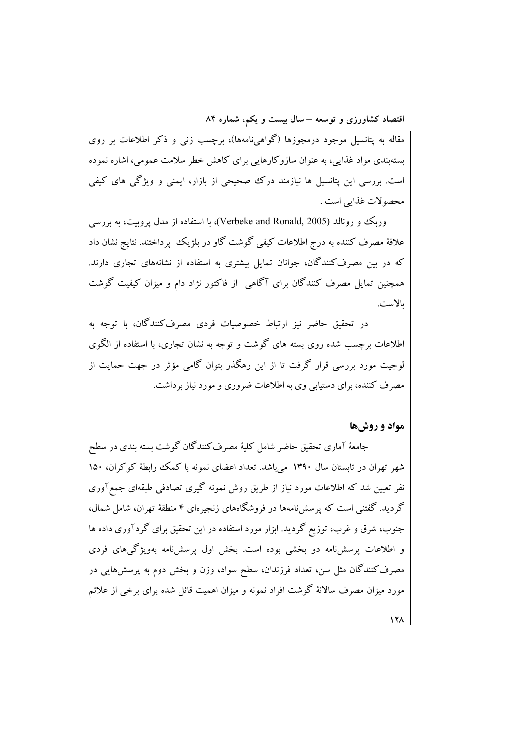مقاله به پتانسیل موجود درمجوزها (گواهیiامهها)، برچسب زنبی و ذکر اطلاعات بر روی بستهبندی مواد غذایی، به عنوان سازوکارهایی برای کاهش خطر سلامت عمومی، اشاره نموده است. بررسی این پتانسپل ها نیازمند درک صحیحی از بازار، ایمنی و ویژگی های کیفی محصو لات غذایی است .

وریک و رونالد (Verbeke and Ronald, 2005)، با استفاده از مدل پروبیت، به بررسی علاقهٔ مصرف کننده به درج اطلاعات کیفی گوشت گاو در بلژیک پرداختند. نتایج نشان داد که در بین مصرفکنندگان، جوانان تمایل بیشتری به استفاده از نشانههای تجاری دارند. همچنین تمایل مصرف کنندگان برای آگاهی از فاکتور نژاد دام و میزان کیفیت گوشت ىالاست.

در تحقیق حاضر نیز ارتباط خصوصیات فردی مصرف کنندگان، با توجه به اطلاعات برچسب شده روی بسته های گوشت و توجه به نشان تجاری، با استفاده از الگوی لوجیت مورد بررسی قرار گرفت تا از این رهگذر بتوان گامی مؤثر در جهت حمایت از مصرف کننده، برای دستیابی وی به اطلاعات ضروری و مورد نیاز برداشت.

## مواد و روشها

جامعهٔ آماری تحقیق حاضر شامل کلیهٔ مصرف کنندگان گوشت بسته بندی در سطح شهر تهران در تابستان سال ۱۳۹۰ می باشد. تعداد اعضای نمونه با کمک رابطهٔ کوکران، ۱۵۰ نفر تعیین شد که اطلاعات مورد نیاز از طریق روش نمونه گیری تصادفی طبقهای جمعآوری گردید. گفتنی است که پرسش نامهها در فروشگاههای زنجیرهای ۴ منطقهٔ تهران، شامل شمال، جنوب، شرق و غرب، توزیع گردید. ابزار مورد استفاده در این تحقیق برای گردآوری داده ها و اطلاعات پرسش نامه دو بخشی بوده است. بخش اول پرسش نامه بهویژگیهای فردی مصرف کنندگان مثل سن، تعداد فرزندان، سطح سواد، وزن و بخش دوم به پرسشهایی در مورد میزان مصرف سالانهٔ گوشت افراد نمونه و میزان اهمیت قائل شده برای برخی از علائم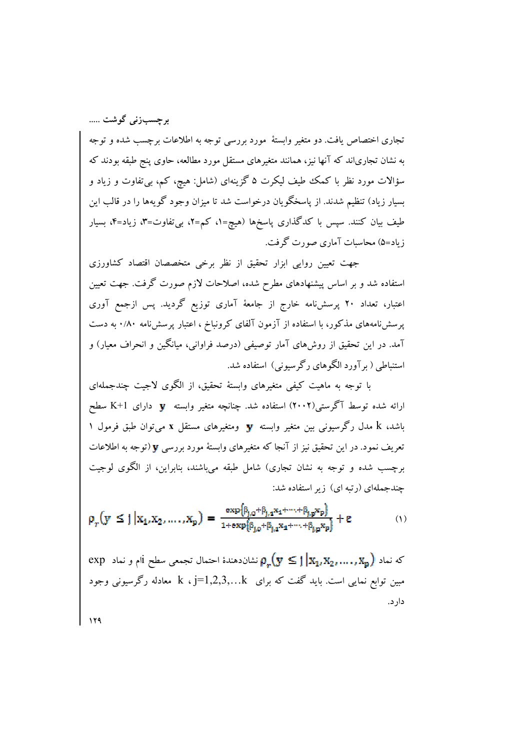برچسبزنی گوشت .....

تجاری اختصاص یافت. دو متغیر وابستهٔ مورد بررسی توجه به اطلاعات برچسب شده و توجه به نشان تجاریاند که آنها نیز، همانند متغیرهای مستقل مورد مطالعه، حاوی پنج طبقه بودند که سؤالات مورد نظر با کمک طیف لیکرت ۵ گزینهای (شامل: هیچ، کم، بیتفاوت و زیاد و بسیار زیاد) تنظیم شدند. از پاسخگویان درخواست شد تا میزان وجود گویهها را در قالب این طیف بیان کنند. سپس با کدگذاری پاسخها (هیچ=۱، کم=۲، بیتفاوت=۳، زیاد=۴، بسیار زیاد=۵) محاسبات آماری صورت گرفت.

جهت تعیین روایی ابزار تحقیق از نظر برخی متخصصان اقتصاد کشاورزی استفاده شد و بر اساس پیشنهادهای مطرح شده، اصلاحات لازم صورت گرفت. جهت تعیین اعتبار، تعداد ۲۰ پرسشiامه خارج از جامعهٔ آماری توزیع گردید. پس ازجمع آوری پرسش:نامههای مذکور، با استفاده از آزمون آلفای کرونباخ ، اعتبار پرسش:نامه ۰/۸۰ به دست آمد. در این تحقیق از روشهای آمار توصیفی (درصد فراوانی، میانگین و انحراف معیار) و استنباطی ( بر آورد الگوهای رگر سیونی) استفاده شد.

با توجه به ماهیت کیفی متغیرهای وابستهٔ تحقیق، از الگوی لاجیت چندجملهای ارائه شده توسط آگرستی(۲۰۰۲) استفاده شد. چنانچه متغیر وابسته **V** دارای K+1 سطح باشد، k مدل رگرسیونی بین متغیر وابسته  $\mathbf y$  ومتغیرهای مستقل x میتوان طبق فرمول ۱ تعریف نمود. در این تحقیق نیز از آنجا که متغیرهای وابستهٔ مورد بررسی ¶(توجه به اطلاعات برچسب شده و توجه به نشان تجاری) شامل طبقه می باشند، بنابراین، از الگوی لوجیت چندجملهای (رتبه ای) زیر استفاده شد:

$$
\rho_r(y \le j | x_1, x_2, \dots, x_p) = \frac{\exp{\{\beta_{j,0} + \beta_{j,1} x_1 + \dots + \beta_{j,p} x_p\}}}{1 + \exp{\{\beta_{j,0} + \beta_{j,1} x_1 + \dots + \beta_{j,p} x_p\}}} + \epsilon
$$
(1)

exp د ام و نماد  $\mathbb{P}_1[\mathbf{x}_1, \mathbf{x}_2, \dots, \mathbf{x}_n]$  نشان دهندهٔ احتمال تجمعی سطح  $\mathbf{x}_1$ ام و نماد مبین توابع نمایی است. باید گفت که برای k ، j=1,2,3,…k معادله رگرسیونی وجود دار د.

 $119$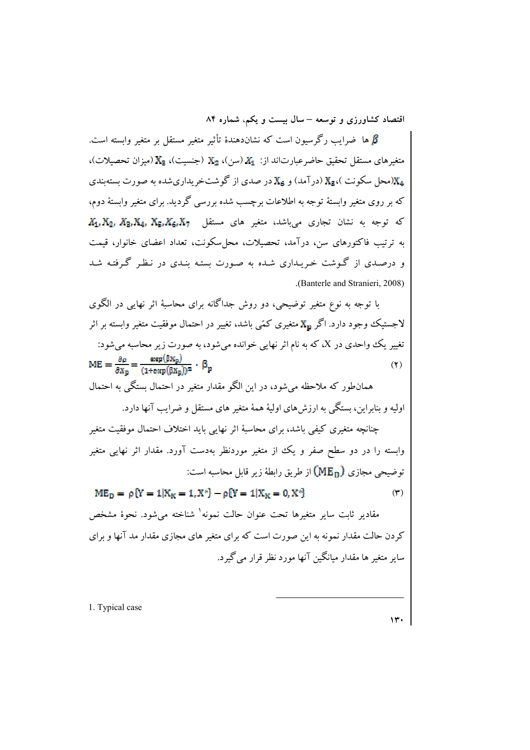ها ضرایب رگرسیون است که نشاندهندهٔ تأثیر متغیر مستقل بر متغیر وابسته است.  $\beta$ متغيرهاي مستقل تحقيق حاضر عبارتاند از: X1 (سن)، X2 (جنسيت)، X3 (ميزان تحصيلات)، (محل سکونت )، X<sub>5</sub> (در آمد) و X<sub>6</sub> در صدی از گوشتخر بداری شده به صورت بسته بندی (x در آمد) که بر روی متغیر وابستهٔ توجه به اطلاعات برچسب شده بررسی گردید. برای متغیر وابستهٔ دوم،  $X_1, X_2, X_3, X_4, X_5, X_6, X_7$  که توجه به نشان تجاری می باشد، متغیر های مستقل به ترتیب فاکتورهای سن، درآمد، تحصیلات، محل سکونت، تعداد اعضای خانوار، قیمت و درصدی از گـوشت خـریـداری شـده به صـورت بستـه بنـدی در نـظـر گـرفتـه شـد (Banterle and Stranieri, 2008).

با توجه به نوع متغیر توضیحی، دو روش جداگانه برای محاسبهٔ اثر نهایی در الگوی لاجستیک وجود دارد. اگر  $\bold {X_{p}}$  متغیری کمّی باشد، تغییر در احتمال موفقیت متغیر وابسته بر اثر تغییر یک واحدی در X، که به نام اثر نهایی خوانده میشود، به صورت زیر محاسبه میشود:  $\text{ME} = \frac{\partial \rho}{\partial \textbf{X}_n} = \frac{\text{exp}(\beta \textbf{X}_p)}{(1 + \text{exp}(\beta \textbf{X}_p))^2} \cdot \beta_p$  $(1)$ 

همانطور که ملاحظه می شود، در این الگو مقدار متغیر در احتمال بستگی به احتمال اولیه و بنابراین، بستگی به ارزش های اولیهٔ همهٔ متغیر های مستقل و ضرایب آنها دارد.

چنانچه متغیری کیفی باشد، برای محاسبهٔ اثر نهایی باید اختلاف احتمال موفقیت متغیر وابسته را در دو سطح صفر و یک از متغیر موردنظر بهدست آورد. مقدار اثر نهایی متغیر توضيحي مجازي (ME<sub>D</sub>) از طريق رابطهٔ زير قابل محاسبه است:

 $ME_p = p{Y = 1 | X_K = 1, X^*} - p{Y = 1 | X_K = 0, X^*}$ 

مقادیر ثابت سایر متغیرها تحت عنوان حالت نمونه<sup>۱</sup> شناخته می شود. نحوهٔ مشخص کردن حالت مقدار نمونه به این صورت است که برای متغیر های مجازی مقدار مد آنها و برای سایر متغیر ها مقدار میانگین آنها مورد نظر قرار می گیرد.

1. Typical case

 $(1)$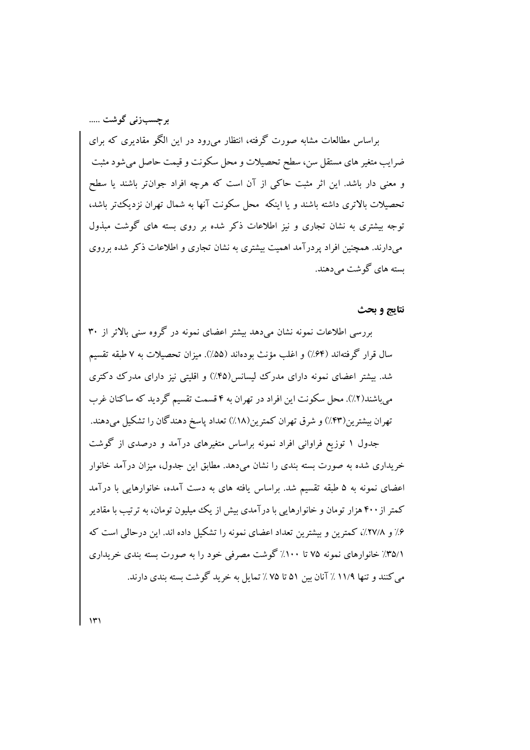برجسبزنی گوشت ..... براساس مطالعات مشابه صورت گرفته، انتظار میرود در این الگو مقادیری که برای ضرایب متغیر های مستقل سن، سطح تحصیلات و محل سکونت و قیمت حاصل میشود مثبت و معنی دار باشد. این اثر مثبت حاکی از آن است که هرچه افراد جوان تر باشند یا سطح تحصیلات بالاتری داشته باشند و یا اینکه ًمحل سکونت آنها به شمال تهران نزدیک تر باشد، توجه بیشتری به نشان تجاری و نیز اطلاعات ذکر شده بر روی بسته های گوشت مبذول میدارند. همچنین افراد پردرآمد اهمیت بیشتری به نشان تجاری و اطلاعات ذکر شده برروی سته های گوشت می دهند.

#### نتايج و بحث

بررسی اطلاعات نمونه نشان می دهد پیشتر اعضای نمونه در گروه سنی بالاتر از ۳۰ سال قرار گرفتهاند (۶۴٪) و اغلب مؤنث بودهاند (۵۵٪). میزان تحصیلات به ۷ طبقه تقسیم شد. بیشتر اعضای نمونه دارای مدرک لیسانس(۴۵٪) و اقلیتی نیز دارای مدرک دکتری می باشند(۲٪). محل سکونت این افراد در تھران به ۴ قسمت تقسیم گردید که ساکنان غرب تهران بیشترین(۴۳٪) و شرق تهران کمترین(۱۸٪) تعداد پاسخ دهندگان را تشکیل میدهند.

جدول ۱ توزیع فراوانی افراد نمونه براساس متغیرهای درآمد و درصدی از گوشت خریداری شده به صورت بسته بندی را نشان میدهد. مطابق این جدول، میزان درآمد خانوار اعضای نمونه به ۵ طبقه تقسیم شد. براساس یافته های به دست آمده، خانوارهایی با درآمد کمتر از ۴۰۰ هزار تومان و خانوارهایی با درآمدی بیش از یک میلیون تومان، به ترتیب با مقادیر ۶٪ و ۲۷/۸٪، کمترین و پیشترین تعداد اعضای نمونه را تشکیل داده اند. این در حالی است که ۳۵/۱٪ خانوارهای نمونه ۷۵ تا ۱۰۰٪ گوشت مصرفی خود را به صورت بسته بندی خریداری می کنند و تنها ۱۱/۹ ٪ آنان بین ۵۱ تا ۷۵ ٪ تمایل به خرید گوشت بسته بندی دارند.

 $\mathcal{W}$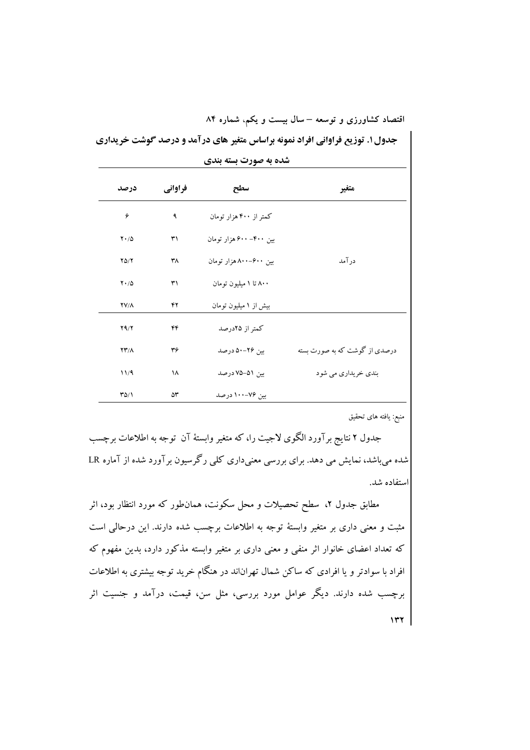جدول۱. توزیع فراوانی افراد نمونه براساس متغیر های درآمد و درصد گوشت خریداری

| شده به صورت بسته بندی      |         |                        |                               |  |  |
|----------------------------|---------|------------------------|-------------------------------|--|--|
| درصد                       | فراواني | سطح                    | متغير                         |  |  |
| ۶                          | ٩       | کمتر از ۴۰۰ هزار تومان |                               |  |  |
| $Y \cdot / \Delta$         | ٣١      | بین ۴۰۰–۶۰۰ هزار تومان |                               |  |  |
| $Y\Delta/Y$                | ٣٨      | بین ۶۰۰–۸۰۰هزار تومان  | درآمد                         |  |  |
| $Y \cdot / \Delta$         | ٣١      | ۸۰۰ تا ۱ میلیون تومان  |                               |  |  |
| $YV/\Lambda$               | ۴۲      | بیش از ۱ میلیون تومان  |                               |  |  |
| Y9/Y                       | ۴۴      | كمتر از ۲۵درصد         |                               |  |  |
| $\Upsilon\Upsilon/\Lambda$ | ٣۶      | بین ۲۶–۵۰ درصد         | درصدی از گوشت که به صورت بسته |  |  |
| 11/9                       | ۱۸      | بین ۵۱–۷۵ درصد         | بندی خریداری می شود           |  |  |
| $\frac{1}{2}$              | ۵۳      | بین ۷۶–۱۰۰ درصد        |                               |  |  |

منبع: يافته هاى تحقيق

جدول ۲ نتایج برآورد الگوی لاجیت را، که متغیر وابستهٔ آن توجه به اطلاعات برچسب شده میباشد، نمایش می دهد. برای بررسی معنیداری کلی رگرسیون برآورد شده از آماره LR استفاده شد.

مطابق جدول ۲، سطح تحصیلات و محل سکونت، همان $d$ ور که مورد انتظار بود، اثر مثبت و معنی داری بر متغیر وابستهٔ توجه به اطلاعات برچسب شده دارند. این درحالی است که تعداد اعضای خانوار اثر منفی و معنی داری بر متغیر وابسته مذکور دارد، بدین مفهوم که افراد با سوادتر و یا افرادی که ساکن شمال تهراناند در هنگام خرید توجه بیشتری به اطلاعات برچسب شده دارند. دیگر عوامل مورد بررسی، مثل سن، قیمت، درآمد و جنسیت اثر  $\mathbf{y}$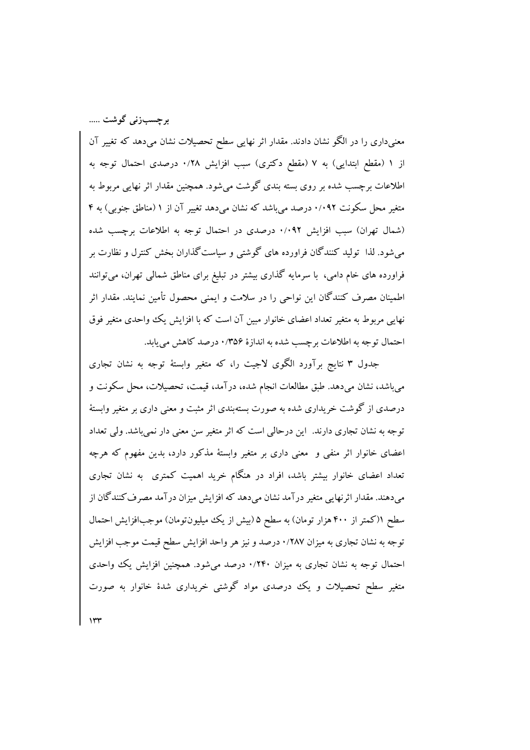برجسبزنی گوشت .....

معنیداری را در الگو نشان دادند. مقدار اثر نهایی سطح تحصیلات نشان میدهد که تغییر آن از ۱ (مقطع ابتدایی) به ۷ (مقطع دکتری) سبب افزایش ۰/۲۸ درصدی احتمال توجه به اطلاعات برچسب شده بر روی بسته بندی گوشت می شود. همچنین مقدار اثر نهایی مربوط به متغیر محل سکونت ۰/۰۹۲ درصد میباشد که نشان میدهد تغییر آن از ۱ (مناطق جنوبی) به ۴ (شمال تهران) سبب افزایش ۰/۰۹۲ درصدی در احتمال توجه به اطلاعات برچسب شده میشود. لذا تولید کنندگان فراورده های گوشتی و سیاست گذاران بخش کنترل و نظارت بر فراورده های خام دامی، با سرمایه گذاری بیشتر در تبلیغ برای مناطق شمالی تهران، میتوانند اطمینان مصرف کنندگان این نواحی را در سلامت و ایمنی محصول تأمین نمایند. مقدار اثر نهایی مربوط به متغیر تعداد اعضای خانوار مبین آن است که با افزایش یک واحدی متغیر فوق احتمال توجه به اطلاعات برچسب شده به اندازهٔ ۰/۳۵۶ درصد کاهش می یابد.

جدول ٣ نتايج برآورد الگوى لاجيت را، كه متغير وابستهٔ توجه به نشان تجارى مي باشد، نشان مي دهد. طبق مطالعات انجام شده، درآمد، قيمت، تحصيلات، محل سكونت و درصدی از گوشت خریداری شده به صورت بستهبندی اثر مثبت و معنی داری بر متغیر وابستهٔ توجه به نشان تجاری دارند. این درحالی است که اثر متغیر سن معنی دار نمی باشد. ولی تعداد اعضای خانوار اثر منفی و ً معنی داری بر متغیر وابستهٔ مذکور دارد، بدین مفهوم که هرچه تعداد اعضای خانوار بیشتر باشد، افراد در هنگام خرید اهمیت کمتری ً به نشان تجاری می،دهند. مقدار اثر نهایی متغیر درآمد نشان می،دهد که افزایش میزان درآمد مصرف کنندگان از سطح ۱(کمتر از ۴۰۰ هزار تومان) به سطح ۵(بیش از یک میلیونتومان) موجبافزایش احتمال توجه به نشان تجاري به ميزان ۰/۲۸۷ درصد و نيز هر واحد افزايش سطح قيمت موجب افزايش احتمال توجه به نشان تجاری به میزان ۰/۲۴۰ درصد میشود. همچنین افزایش یک واحدی متغیر سطح تحصیلات و یک درصدی مواد گوشتی خریداری شدهٔ خانوار به صورت

 $\gamma$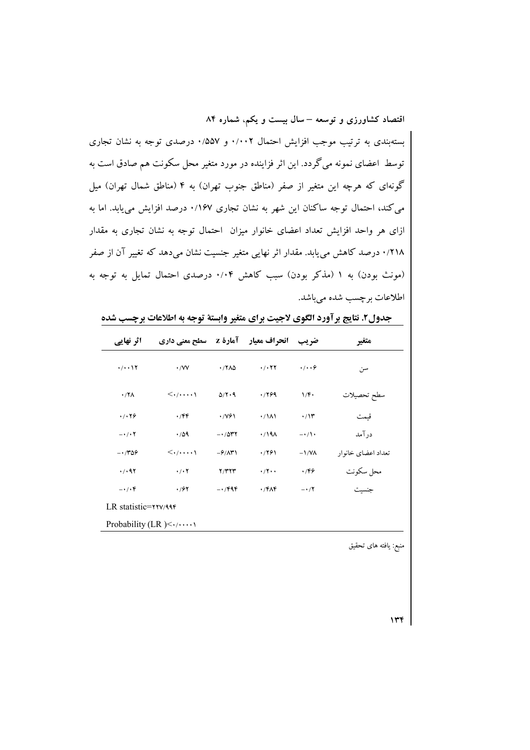بستهبندی به ترتیب موجب افزایش احتمال ۰/۰۰۲ و ۵۷٪۰ درصدی توجه به نشان تجاری توسط اعضای نمونه میگردد. این اثر فزاینده در مورد متغیر محل سکونت هم صادق است به گونهای که هرچه این متغیر از صفر (مناطق جنوب تهران) به ۴ (مناطق شمال تهران) میل می کند، احتمال توجه ساکنان این شهر به نشان تجاری ۰/۱۶۷ درصد افزایش می یابد. اما به ازای هر واحد افزایش تعداد اعضای خانوار میزان احتمال توجه به نشان تجاری به مقدار ۰/۲۱۸ درصد کاهش مییابد. مقدار اثر نهایی متغیر جنسیت نشان میدهد که تغییر آن از صفر (مونث بودن) به ۱ (مذکر بودن) سبب کاهش ۰/۰۴ درصدی احتمال تمایل به توجه به اطلاعات بر چسب شده می باشد.

| اثر نهایی                       | سطح معنی داری                          |                         | <b>انحراف معیار ۔ آمارۂ Z</b> | ضريب               | متغير              |  |
|---------------------------------|----------------------------------------|-------------------------|-------------------------------|--------------------|--------------------|--|
| $\cdot/\cdot\cdot$ \ $\Upsilon$ | $\cdot$ /VV                            | .77 <sub>0</sub>        | .7.77                         | $\cdot/\cdot\cdot$ | سن                 |  |
| $.77\lambda$                    | $\langle \cdot \rangle \cdots \rangle$ | $\Delta/Y\cdot9$        | .799                          | 1/F                | سطح تحصيلات        |  |
| .7.79                           | ۰/۴۴                                   | $\cdot$ / $\sqrt{2}$    | $\cdot$ / $\lambda$           | $\cdot$ /۱۳        | قىمت               |  |
| $- \cdot / \cdot 7$             | .709                                   | $-1047$                 | $\cdot$ /19 $\Lambda$         | $-\cdot/$          | در آمد             |  |
| $-1.789$                        | $\langle \cdot/\cdots\rangle$          | $-\frac{\rho}{\Lambda}$ | .7791                         | $-1/N\Lambda$      | تعداد اعضای خانوار |  |
| .7.97                           | $\cdot$ / $\cdot$ $\cdot$              | Y/YYY                   | $\cdot$ /۲ $\cdot$            | .799               | محل سكونت          |  |
| $-\cdot/\cdot f$                | .797                                   | $-1.799$                | $\cdot$ $/$ ۴۸۴               | $-1/7$             | جنسيت              |  |
| LR statistic= $\mathbf{y}$      |                                        |                         |                               |                    |                    |  |
| Probability (LR) $\leq$         |                                        |                         |                               |                    |                    |  |

جدول٢. نتايج برآورد الگوي لاجيت براي متغير وابستة توجه به اطلاعات برچسب شده

منبع: یافته های تحقیق

 $\mathbf{r}$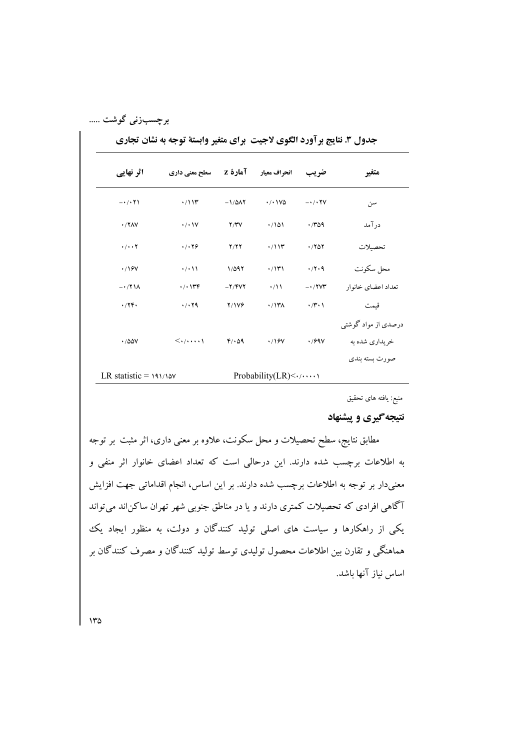## برچسبزنی گوشت …..

| جدول ۳. نتایج برآورد الگوی لاجیت ًبرای متغیر وابستهٔ توجه به نشان تجاری |  |  |  |
|-------------------------------------------------------------------------|--|--|--|
|-------------------------------------------------------------------------|--|--|--|

| اثر نهایی                    | سطح معنی داری                           |                      | انحراف معيار       آمارة Z         | ضريب                   | متغير               |
|------------------------------|-----------------------------------------|----------------------|------------------------------------|------------------------|---------------------|
| $-\cdot/(\cdot 7)$           | $\cdot$ /11۳                            | $-1/\Delta\Lambda$ Y | $\cdot$ / $\cdot$ / $\vee$ $\circ$ | $ \cdot$ / $\cdot$ YV  | سن                  |
| $\cdot$ /۲۸۷                 | $\cdot$ / $\cdot$                       | Y/YV                 | .7101                              | .709                   | درآمد               |
| $\cdot/\cdot\cdot\mathsf{Y}$ | .7.79                                   | Y/YY                 | $\cdot$ /11۳                       | .7807                  | تحصيلات             |
| $\cdot$ /16V                 | $\cdot$ / $\cdot$                       | 1/097                | $\cdot$ /1۳۱                       | $\cdot$ /۲۰۹           | محل سكونت           |
| $-\cdot$ /۲۱۸                | $\cdot$ / $\cdot$ ) $\forall$ $\forall$ | $-Y/$ $YY$           | $\cdot/11$                         | $-1$ / $\gamma \gamma$ | تعداد اعضاي خانوار  |
| .746                         | $\cdot$ / $\cdot$ $\uparrow$ 9          | <b>Y/1VG</b>         | $\cdot$ /1۳۸                       | $\cdot$ /۳ $\cdot$     | قيمت                |
|                              |                                         |                      |                                    |                        | درصدی از مواد گوشتی |
| .700V                        | $\langle \cdot/\cdots\rangle$           | $F/\cdot \Delta$ 9   | $\cdot$ /16V                       | $\cdot$ /69 $\vee$     | خر يداري شده به     |
|                              |                                         |                      |                                    |                        | صورت ىستە ىندى      |
| LR statistic = $191/10V$     |                                         |                      | Probability(LR) $\leq$             |                        |                     |

منبع: یافته های تحقیق

### نتیجه گیری و پیشنهاد

مطابق نتایج، سطح تحصیلات و محل سکونت، علاوه بر معنی داری، اثر مثبت بر توجه به اطلاعات برچسب شده دارند. این درحالی است که تعداد اعضای خانوار اثر منفی و معنیدار بر توجه به اطلاعات برچسب شده دارند. بر این اساس، انجام اقداماتی جهت افزایش آگاهی افرادی که تحصیلات کمتری دارند و یا در مناطق جنوبی شهر تهران ساکن|ند میتواند یکی از راهکارها و سیاست های اصلی تولید کنندگان و دولت، به منظور ایجاد یک هماهنگی و تقارن بین اطلاعات محصول تولیدی توسط تولید کنندگان و مصرف کنندگان بر اساس نياز آنها باشد.

 $140$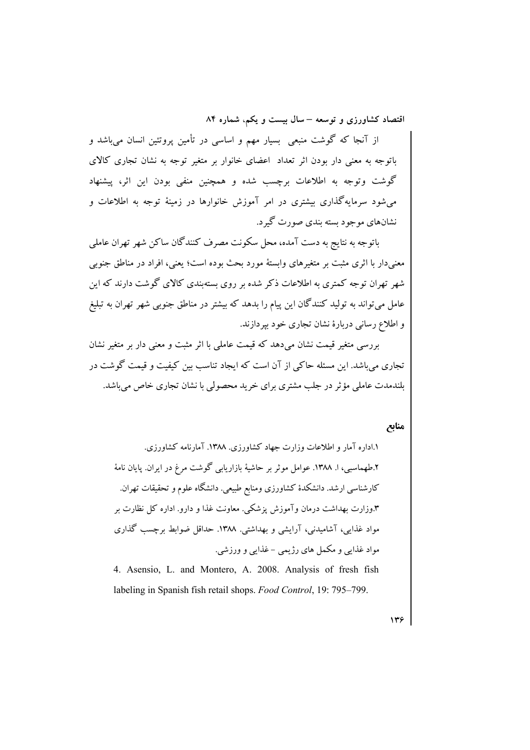از آنجا که گوشت منبعی بسیار مهم و اساسی در تأمین پروتئین انسان میباشد و باتوجه به معنی دار بودن اثر تعداد اعضای خانوار بر متغیر توجه به نشان تجاری کالای گوشت وتوجه به اطلاعات برچسب شده و همچنین منفی بودن این اثر، پیشنهاد می شود سرمایهگذاری بیشتری در امر آموزش خانوارها در زمینهٔ توجه به اطلاعات و نشانهای موجود بسته بندی صورت گیرد.

باتوجه به نتايج به دست آمده، محل سكونت مصرف كنندگان ساكن شهر تهران عاملي معنیدار با اثری مثبت بر متغیرهای وابستهٔ مورد بحث بوده است؛ یعنی، افراد در مناطق جنوبی .<br>شهر تهران توجه کمتری به اطلاعات ذکر شده بر روی بستهبندی کالای گوشت دارند که این عامل میتواند به تولید کنندگان این پیام را بدهد که بیشتر در مناطق جنوبی شهر تهران به تبلیغ و اطلاع رسانی دربارهٔ نشان تجاری خود بپردازند.

بررسی متغیر قیمت نشان میدهد که قیمت عاملی با اثر مثبت و معنی دار بر متغیر نشان تجاری می باشد. این مسئله حاکم از آن است که ایجاد تناسب بین کیفیت و قیمت گوشت در بلندمدت عاملی مؤثر در جلب مشتری برای خرید محصولی با نشان تجاری خاص می باشد.

#### منابع

١.اداره آمار و اطلاعات وزارت جهاد كشاورزي. ١٣٨٨. آمارنامه كشاورزي. ۲.طهماسبی، ا. ۱۳۸۸. عوامل موثر بر حاشیهٔ بازاریابی گوشت مرغ در ایران. یایان نامهٔ کارشناسی ارشد. دانشکدهٔ کشاورزی ومنابع طبیعی. دانشگاه علوم و تحقیقات تهران. ۴.وزارت بهداشت درمان وآموزش پزشکی. معاونت غذا و دارو. اداره کل نظارت بر مواد غذایی، آشامیدنی، آرایشی و بهداشتی. ۱۳۸۸. حداقل ضوابط برچسب گذاری مواد غذایی و مکمل های رژیمی –غذایی و ورزشی. 4. Asensio, L. and Montero, A. 2008. Analysis of fresh fish

labeling in Spanish fish retail shops. Food Control, 19: 795–799.

 $\mathbf{y}$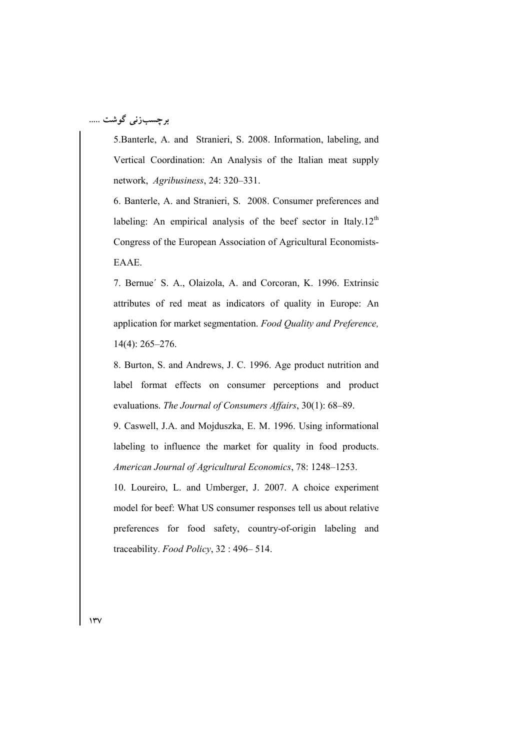# برچسبزنی گوشت …..

5. Banterle, A. and Stranieri, S. 2008. Information, labeling, and Vertical Coordination: An Analysis of the Italian meat supply network, Agribusiness, 24: 320-331.

6. Banterle, A. and Stranieri, S. 2008. Consumer preferences and labeling: An empirical analysis of the beef sector in Italy.12<sup>th</sup> Congress of the European Association of Agricultural Economists-EAAE.

7. Bernue' S. A., Olaizola, A. and Corcoran, K. 1996. Extrinsic attributes of red meat as indicators of quality in Europe: An application for market segmentation. Food Quality and Preference,  $14(4)$ : 265-276.

8. Burton, S. and Andrews, J. C. 1996. Age product nutrition and label format effects on consumer perceptions and product evaluations. The Journal of Consumers Affairs, 30(1): 68–89.

9. Caswell, J.A. and Mojduszka, E. M. 1996. Using informational labeling to influence the market for quality in food products. American Journal of Agricultural Economics, 78: 1248-1253.

10. Loureiro, L. and Umberger, J. 2007. A choice experiment model for beef: What US consumer responses tell us about relative preferences for food safety, country-of-origin labeling and traceability. Food Policy, 32:496-514.